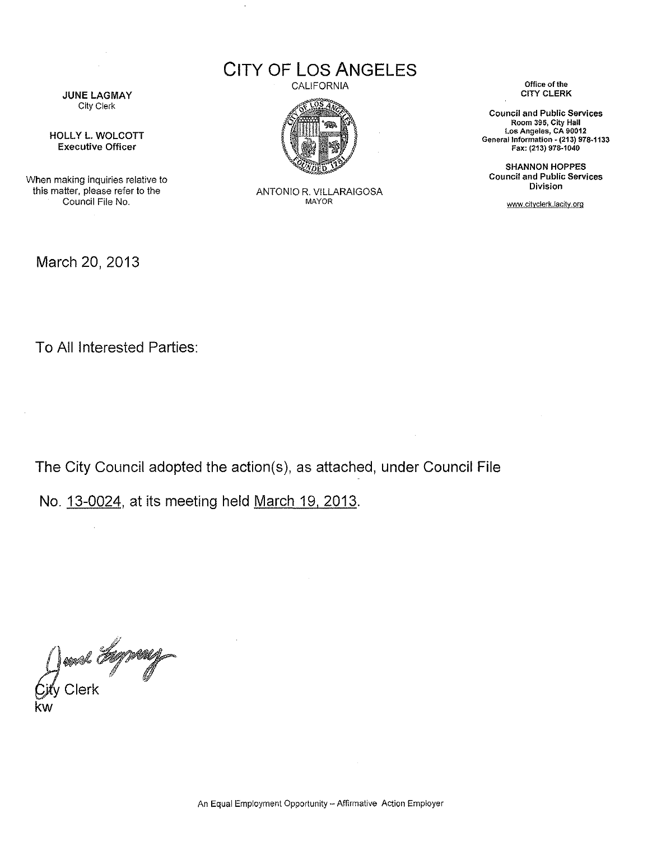CITY OF LOS ANGELES

**JUNE LAGMAY** City Clerk

**HOLLY L. WOLCOTT** Executive Officer

When making inquiries relative to this matter, please refer to the Council File No.

March 20, 2013



ANTONIO R. VllLARAIGOSA MAYOR

CALIFORNIA CALIFORNIA CHERK CONSERVATION Of the CITY CLERK

Council and Public Services Room 395, City Hall Los Angeles, CA 90012 General Information ~(213) 978·1133 Fax: (213) 978·1040

SHANNON HOPPES Council and Public Services **Division** 

www.cityclerk.lacity.org

To All Interested Parties:

The City Council adopted the action(s), as attached, under Council File

No. 13-0024, at its meeting held March 19, 2013.

Jean *Agyven*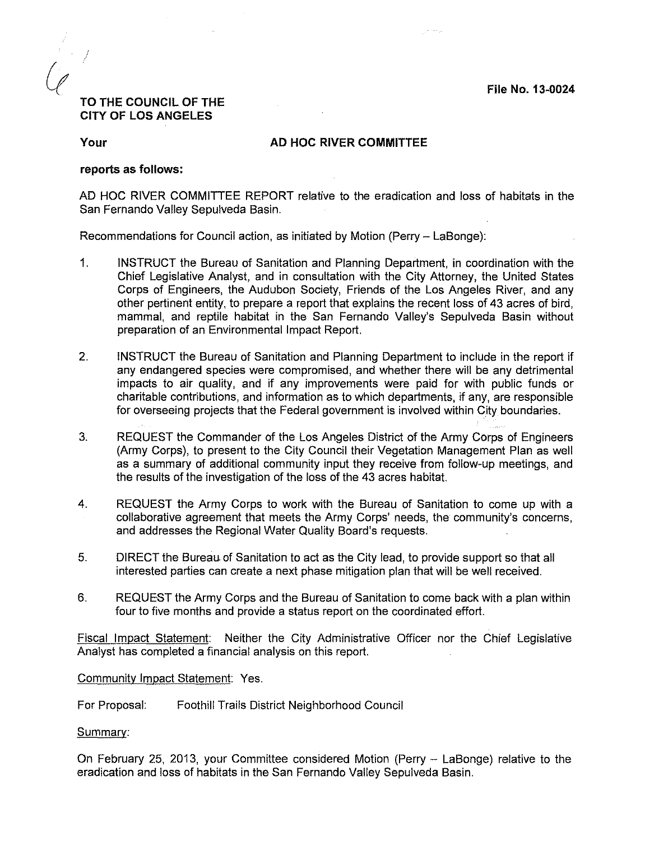File No. 13-0024

# TO THE COUNCIL OF THE CITY OF LOS ANGELES

## Your **AD HOC RIVER COMMITTEE**

#### reports as follows:

AD HOC RIVER COMMITTEE REPORT relative to the eradication and loss of habitats in the San Fernando Valley Sepulveda Basin.

Recommendations for Council action, as initiated by Motion (Perry - LaBonge):

- 1. INSTRUCT the Bureau of Sanitation and Planning Department, in coordination with the Chief Legislative Analyst, and in consultation with the City Attorney, the United States Corps of Engineers, the Audubon Society, Friends of the Los Angeles River, and any other pertinent entity, to prepare a report that explains the recent loss of 43 acres of bird, mammal, and reptile habitat in the San Fernando Valley's Sepulveda Basin without preparation of an Environmental Impact Report.
- 2. INSTRUCT the Bureau of Sanitation and Planning Department to include in the report if any endangered species were compromised, and whether there will be any detrimental impacts to air quality, and if any improvements were paid for with public funds or charitable contributions, and information as to which departments, if any, are responsible for overseeing projects that the Federal government is involved within City boundaries.
- 3. REQUEST the Commander of the Los Angeles District of the Army Corps of Engineers (Army Corps), to present to the City Council their Vegetation Management Plan as well as a summary of additional community input they receive from follow-up meetings, and the results of the investigation of the loss of the 43 acres habitat.
- 4. REQUEST the Army Corps to work with the Bureau of Sanitation to come up with a collaborative agreement that meets the Army Corps' needs, the community's concerns, and addresses the Regional Water Quality Board's requests.
- 5. DIRECT the Bureau.of Sanitation to act as the City lead, to provide support so that all interested parties can create a next phase mitigation plan that will be well received.
- 6. REQUEST the Army Corps and the Bureau of Sanitation to come back with a plan within four to five months and provide a status report on the coordinated effort.

Fiscal Impact Statement: Neither the City Administrative Officer nor the Chief Legislative Analyst has completed a financial analysis on this report.

### Community Impact Statement: Yes.

For Proposal: Foothill Trails District Neighborhood Council

Summary:

On February 25, 2013, your Committee considered Motion (Perry - LaBonge) relative to the eradication and loss of habitats in the San Fernando Valley Sepulveda Basin.